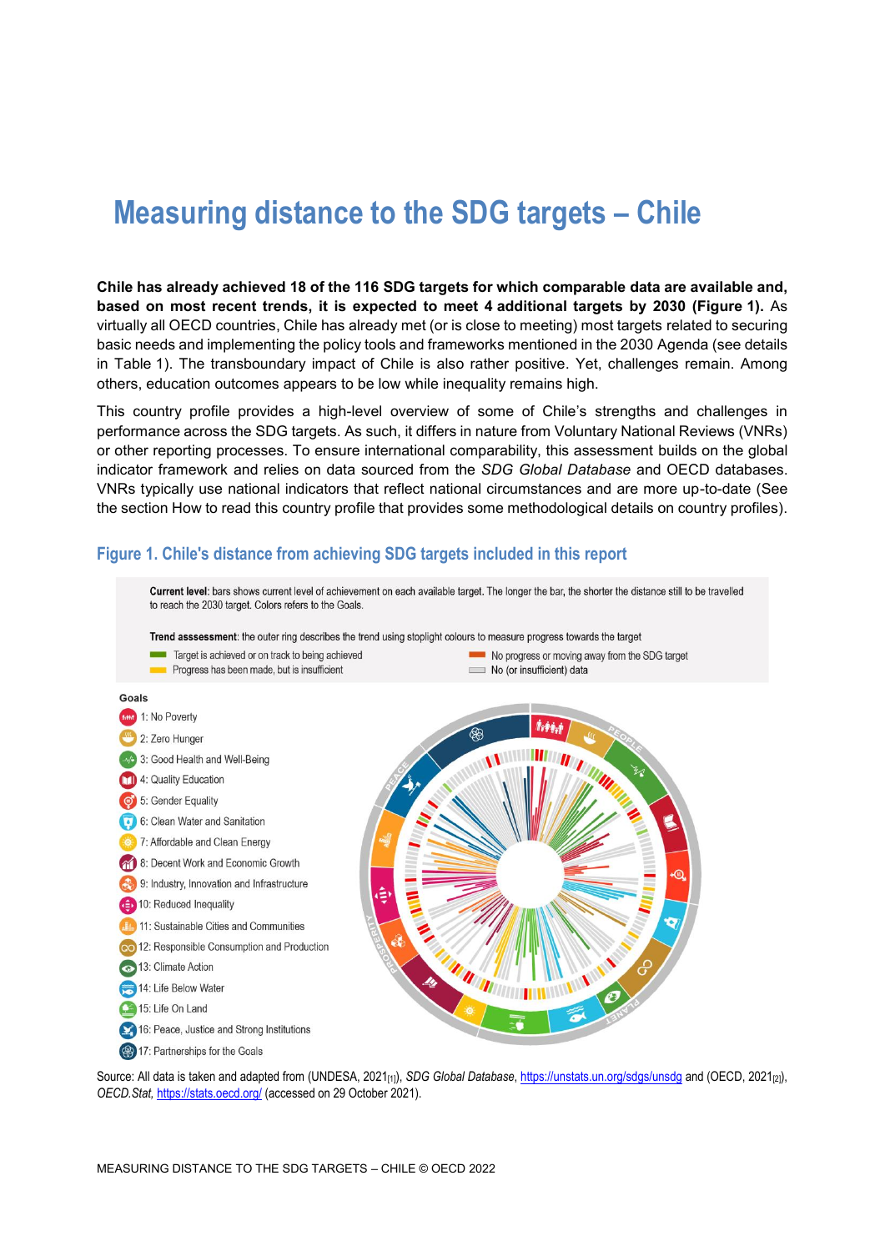# **Measuring distance to the SDG targets – Chile**

**Chile has already achieved 18 of the 116 SDG targets for which comparable data are available and, based on most recent trends, it is expected to meet 4 additional targets by 2030 [\(Figure](#page-0-0) 1).** As virtually all OECD countries, Chile has already met (or is close to meeting) most targets related to securing basic needs and implementing the policy tools and frameworks mentioned in the 2030 Agenda (see details in [Table](#page-3-0) 1). The transboundary impact of Chile is also rather positive. Yet, challenges remain. Among others, education outcomes appears to be low while inequality remains high.

This country profile provides a high-level overview of some of Chile's strengths and challenges in performance across the SDG targets. As such, it differs in nature from Voluntary National Reviews (VNRs) or other reporting processes. To ensure international comparability, this assessment builds on the global indicator framework and relies on data sourced from the *SDG Global Database* and OECD databases. VNRs typically use national indicators that reflect national circumstances and are more up-to-date (See the section [How to read this](#page-7-0) country profile that provides some methodological details on country profiles).



### <span id="page-0-0"></span>**Figure 1. Chile's distance from achieving SDG targets included in this report**

Source: All data is taken and adapted from (UNDESA, 2021[1]), *SDG Global Database*[, https://unstats.un.org/sdgs/unsdg](https://unstats.un.org/sdgs/unsdg) and (OECD, 2021[2]), *OECD.Stat,* <https://stats.oecd.org/> (accessed on 29 October 2021).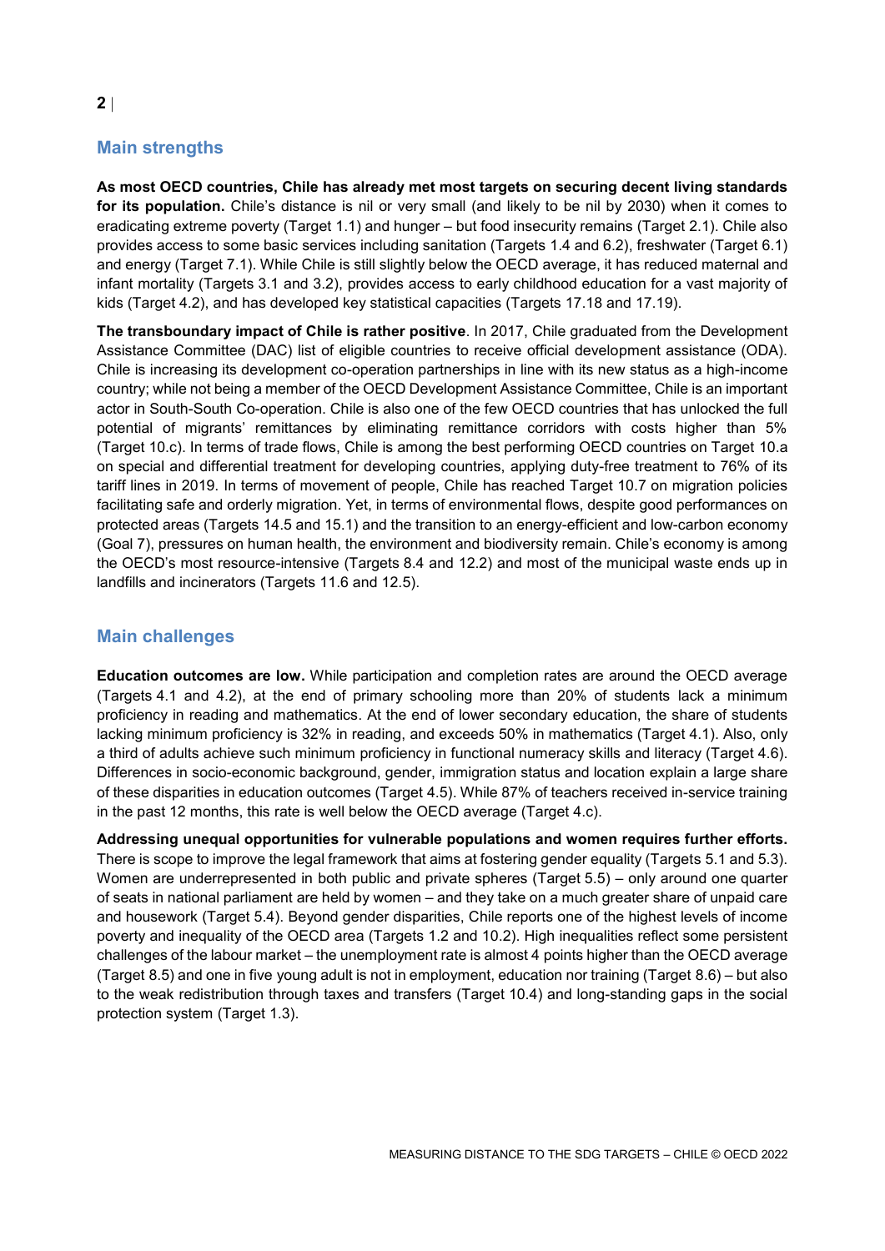# **Main strengths**

**As most OECD countries, Chile has already met most targets on securing decent living standards for its population.** Chile's distance is nil or very small (and likely to be nil by 2030) when it comes to eradicating extreme poverty (Target 1.1) and hunger – but food insecurity remains (Target 2.1). Chile also provides access to some basic services including sanitation (Targets 1.4 and 6.2), freshwater (Target 6.1) and energy (Target 7.1). While Chile is still slightly below the OECD average, it has reduced maternal and infant mortality (Targets 3.1 and 3.2), provides access to early childhood education for a vast majority of kids (Target 4.2), and has developed key statistical capacities (Targets 17.18 and 17.19).

**The transboundary impact of Chile is rather positive**. In 2017, Chile graduated from the Development Assistance Committee (DAC) list of eligible countries to receive official development assistance (ODA). Chile is increasing its development co-operation partnerships in line with its new status as a high-income country; while not being a member of the OECD Development Assistance Committee, Chile is an important actor in South-South Co-operation. Chile is also one of the few OECD countries that has unlocked the full potential of migrants' remittances by eliminating remittance corridors with costs higher than 5% (Target 10.c). In terms of trade flows, Chile is among the best performing OECD countries on Target 10.a on special and differential treatment for developing countries, applying duty-free treatment to 76% of its tariff lines in 2019. In terms of movement of people, Chile has reached Target 10.7 on migration policies facilitating safe and orderly migration. Yet, in terms of environmental flows, despite good performances on protected areas (Targets 14.5 and 15.1) and the transition to an energy-efficient and low-carbon economy (Goal 7), pressures on human health, the environment and biodiversity remain. Chile's economy is among the OECD's most resource-intensive (Targets 8.4 and 12.2) and most of the municipal waste ends up in landfills and incinerators (Targets 11.6 and 12.5).

# **Main challenges**

**Education outcomes are low.** While participation and completion rates are around the OECD average (Targets 4.1 and 4.2), at the end of primary schooling more than 20% of students lack a minimum proficiency in reading and mathematics. At the end of lower secondary education, the share of students lacking minimum proficiency is 32% in reading, and exceeds 50% in mathematics (Target 4.1). Also, only a third of adults achieve such minimum proficiency in functional numeracy skills and literacy (Target 4.6). Differences in socio-economic background, gender, immigration status and location explain a large share of these disparities in education outcomes (Target 4.5). While 87% of teachers received in-service training in the past 12 months, this rate is well below the OECD average (Target 4.c).

**Addressing unequal opportunities for vulnerable populations and women requires further efforts.** There is scope to improve the legal framework that aims at fostering gender equality (Targets 5.1 and 5.3). Women are underrepresented in both public and private spheres (Target 5.5) – only around one quarter of seats in national parliament are held by women – and they take on a much greater share of unpaid care and housework (Target 5.4). Beyond gender disparities, Chile reports one of the highest levels of income poverty and inequality of the OECD area (Targets 1.2 and 10.2). High inequalities reflect some persistent challenges of the labour market – the unemployment rate is almost 4 points higher than the OECD average (Target 8.5) and one in five young adult is not in employment, education nor training (Target 8.6) – but also to the weak redistribution through taxes and transfers (Target 10.4) and long-standing gaps in the social protection system (Target 1.3).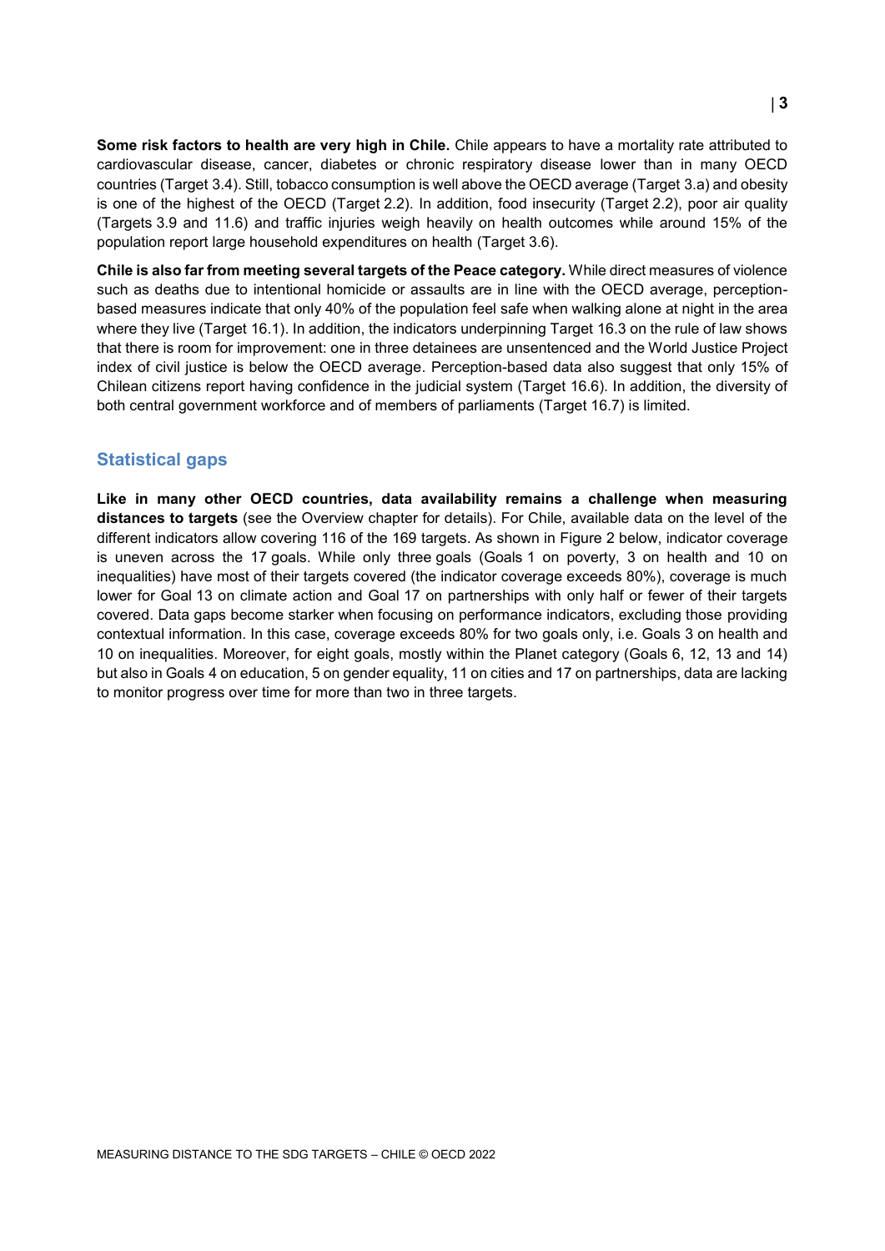**Some risk factors to health are very high in Chile.** Chile appears to have a mortality rate attributed to cardiovascular disease, cancer, diabetes or chronic respiratory disease lower than in many OECD countries (Target 3.4). Still, tobacco consumption is well above the OECD average (Target 3.a) and obesity is one of the highest of the OECD (Target 2.2). In addition, food insecurity (Target 2.2), poor air quality (Targets 3.9 and 11.6) and traffic injuries weigh heavily on health outcomes while around 15% of the population report large household expenditures on health (Target 3.6).

**Chile is also far from meeting several targets of the Peace category.** While direct measures of violence such as deaths due to intentional homicide or assaults are in line with the OECD average, perceptionbased measures indicate that only 40% of the population feel safe when walking alone at night in the area where they live (Target 16.1). In addition, the indicators underpinning Target 16.3 on the rule of law shows that there is room for improvement: one in three detainees are unsentenced and the World Justice Project index of civil justice is below the OECD average. Perception-based data also suggest that only 15% of Chilean citizens report having confidence in the judicial system (Target 16.6). In addition, the diversity of both central government workforce and of members of parliaments (Target 16.7) is limited.

### **Statistical gaps**

**Like in many other OECD countries, data availability remains a challenge when measuring distances to targets** (see the Overview chapter for details). For Chile, available data on the level of the different indicators allow covering 116 of the 169 targets. As shown in [Figure](#page-3-1) 2 below, indicator coverage is uneven across the 17 goals. While only three goals (Goals 1 on poverty, 3 on health and 10 on inequalities) have most of their targets covered (the indicator coverage exceeds 80%), coverage is much lower for Goal 13 on climate action and Goal 17 on partnerships with only half or fewer of their targets covered. Data gaps become starker when focusing on performance indicators, excluding those providing contextual information. In this case, coverage exceeds 80% for two goals only, i.e. Goals 3 on health and 10 on inequalities. Moreover, for eight goals, mostly within the Planet category (Goals 6, 12, 13 and 14) but also in Goals 4 on education, 5 on gender equality, 11 on cities and 17 on partnerships, data are lacking to monitor progress over time for more than two in three targets.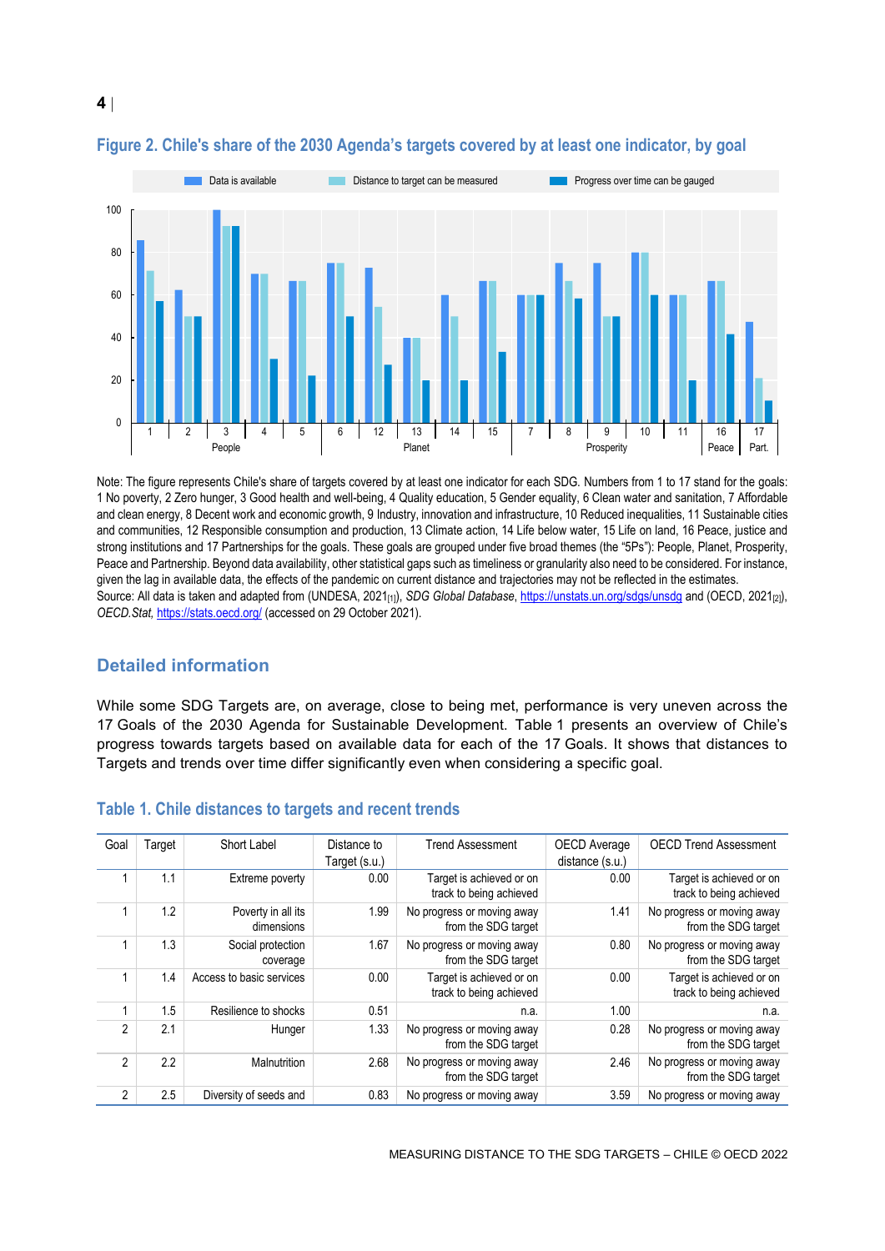

### <span id="page-3-1"></span>**Figure 2. Chile's share of the 2030 Agenda's targets covered by at least one indicator, by goal**

Note: The figure represents Chile's share of targets covered by at least one indicator for each SDG. Numbers from 1 to 17 stand for the goals: 1 No poverty, 2 Zero hunger, 3 Good health and well-being, 4 Quality education, 5 Gender equality, 6 Clean water and sanitation, 7 Affordable and clean energy, 8 Decent work and economic growth, 9 Industry, innovation and infrastructure, 10 Reduced inequalities, 11 Sustainable cities and communities, 12 Responsible consumption and production, 13 Climate action, 14 Life below water, 15 Life on land, 16 Peace, justice and strong institutions and 17 Partnerships for the goals. These goals are grouped under five broad themes (the "5Ps"): People, Planet, Prosperity, Peace and Partnership. Beyond data availability, other statistical gaps such as timeliness or granularity also need to be considered. For instance, given the lag in available data, the effects of the pandemic on current distance and trajectories may not be reflected in the estimates. Source: All data is taken and adapted from (UNDESA, 2021<sub>[1]</sub>), *SDG Global Database*[, https://unstats.un.org/sdgs/unsdg](https://unstats.un.org/sdgs/unsdg) and (OECD, 2021<sub>[2]</sub>), *OECD.Stat,* <https://stats.oecd.org/> (accessed on 29 October 2021).

### **Detailed information**

While some SDG Targets are, on average, close to being met, performance is very uneven across the 17 Goals of the 2030 Agenda for Sustainable Development. [Table](#page-3-0) 1 presents an overview of Chile's progress towards targets based on available data for each of the 17 Goals. It shows that distances to Targets and trends over time differ significantly even when considering a specific goal.

| Goal           | Target | Short Label                      | Distance to   | <b>Trend Assessment</b>                             | OECD Average    | <b>OECD Trend Assessment</b>                        |
|----------------|--------|----------------------------------|---------------|-----------------------------------------------------|-----------------|-----------------------------------------------------|
|                |        |                                  | Target (s.u.) |                                                     | distance (s.u.) |                                                     |
|                | 1.1    | Extreme poverty                  | 0.00          | Target is achieved or on<br>track to being achieved | 0.00            | Target is achieved or on<br>track to being achieved |
|                | 1.2    | Poverty in all its<br>dimensions | 1.99          | No progress or moving away<br>from the SDG target   | 1.41            | No progress or moving away<br>from the SDG target   |
|                | 1.3    | Social protection<br>coverage    | 1.67          | No progress or moving away<br>from the SDG target   | 0.80            | No progress or moving away<br>from the SDG target   |
|                | 1.4    | Access to basic services         | 0.00          | Target is achieved or on<br>track to being achieved | 0.00            | Target is achieved or on<br>track to being achieved |
|                | 1.5    | Resilience to shocks             | 0.51          | n.a.                                                | 1.00            | n.a.                                                |
| $\mathfrak{p}$ | 2.1    | Hunger                           | 1.33          | No progress or moving away<br>from the SDG target   | 0.28            | No progress or moving away<br>from the SDG target   |
| $\mathfrak{p}$ | 2.2    | Malnutrition                     | 2.68          | No progress or moving away<br>from the SDG target   | 2.46            | No progress or moving away<br>from the SDG target   |
| $\mathfrak{p}$ | 2.5    | Diversity of seeds and           | 0.83          | No progress or moving away                          | 3.59            | No progress or moving away                          |

#### <span id="page-3-0"></span>**Table 1. Chile distances to targets and recent trends**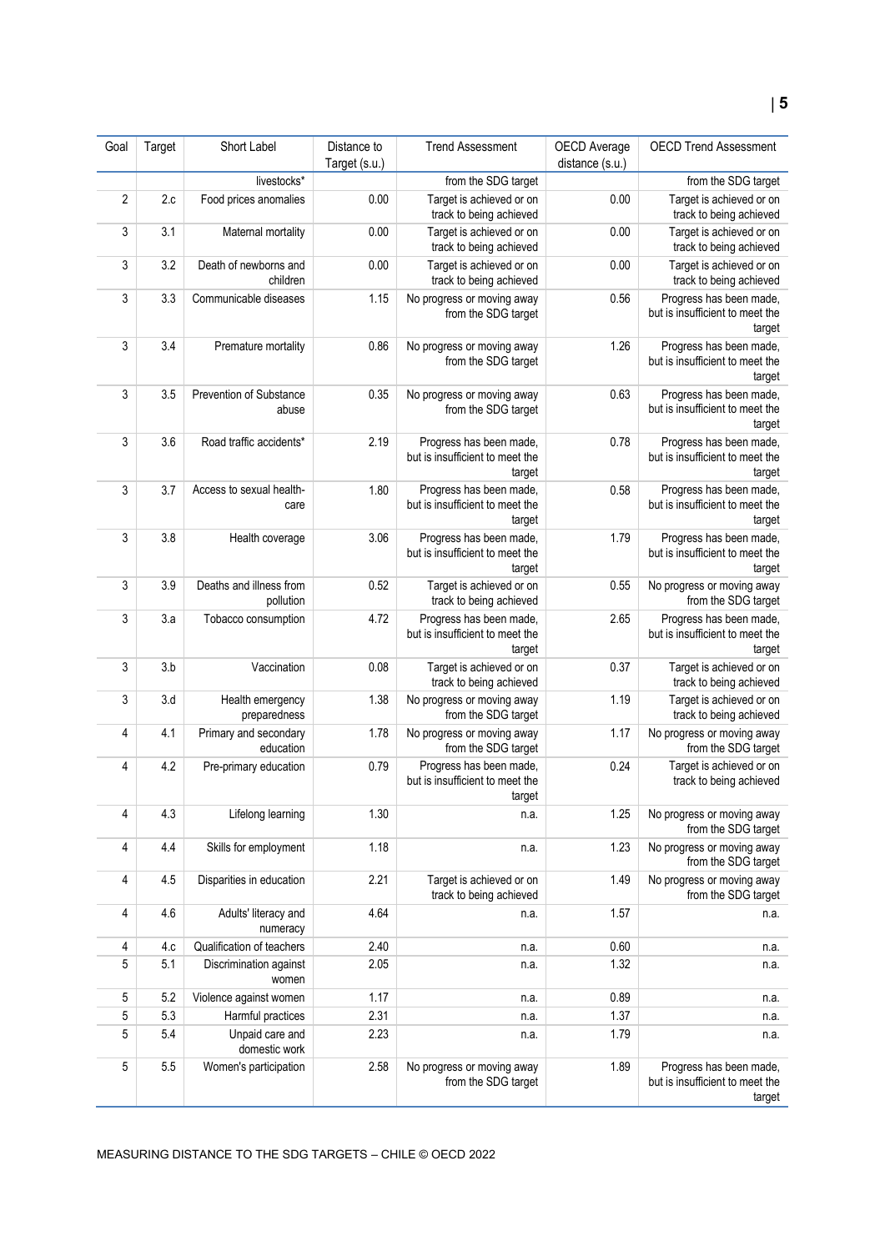#### Goal Target Short Label Distance to Target (s.u.) Trend Assessment | OECD Average distance (s.u.) OECD Trend Assessment livestocks<sup>\*</sup> **from the SDG target from the SDG target from the SDG target from the SDG target** 2 2.c Food prices anomalies 0.00 Target is achieved or on track to being achieved 0.00 Target is achieved or on track to being achieved 3 3.1 Maternal mortality 0.00 Target is achieved or on track to being achieved 0.00 Target is achieved or on track to being achieved 3 3.2 Death of newborns and children 0.00 Target is achieved or on track to being achieved 0.00 Target is achieved or on track to being achieved 3 3.3 Communicable diseases 1.15 No progress or moving away from the SDG target 0.56 **Progress has been made,** but is insufficient to meet the target 3 3.4 Premature mortality 0.86 No progress or moving away from the SDG target 1.26 **Progress has been made,** but is insufficient to meet the target 3 3.5 Prevention of Substance abuse 0.35 No progress or moving away from the SDG target 0.63 Progress has been made, but is insufficient to meet the target 3 3.6 Road traffic accidents<sup>\*</sup> 2.19 Progress has been made, but is insufficient to meet the target 0.78 Progress has been made, but is insufficient to meet the target 3 3.7 Access to sexual healthcare 1.80 Progress has been made, but is insufficient to meet the target 0.58 Progress has been made, but is insufficient to meet the target 3 3.8 Health coverage 3.06 Progress has been made, but is insufficient to meet the target 1.79 Progress has been made, but is insufficient to meet the target 3 3.9 Deaths and illness from pollution 0.52 Target is achieved or on track to being achieved 0.55 No progress or moving away from the SDG target 3 3.a Tobacco consumption 4.72 Progress has been made, but is insufficient to meet the target 2.65 Progress has been made, but is insufficient to meet the target 3 3.b Vaccination 0.08 Target is achieved or on track to being achieved 0.37 Target is achieved or on track to being achieved 3 3.d Health emergency preparedness 1.38 No progress or moving away from the SDG target 1.19 Target is achieved or on track to being achieved 4 4.1 Primary and secondary education 1.78 No progress or moving away from the SDG target 1.17 No progress or moving away from the SDG target 4 4.2 Pre-primary education 0.79 Progress has been made, but is insufficient to meet the target 0.24 Target is achieved or on track to being achieved 4 4.3 Lifelong learning 1.30 n.a. 1.25 No progress or moving away from the SDG target 4 4.4 Skills for employment 1.18 n.a. 1.23 No progress or moving away from the SDG target 4 4.5 Disparities in education 2.21 Target is achieved or on track to being achieved 1.49 No progress or moving away from the SDG target 4 4.6 Adults' literacy and numeracy 4.64 n.a. 1.57 n.a. 4 4.c Qualification of teachers 2.40 n.a. 0.60 n.a. 5 5.1 Discrimination against women 2.05 n.a. 1.32 n.a. 5 5.2 Violence against women 1.17 https://www.fa.com/enterpretational/enterpretational/enterpretational/enterpretational/enterpretational/enterpretational/enterpretational/enterpretational/enterpretational/enterpretational 5 5.3 Harmful practices 2.31 n.a. 1.37 n.a. 5 5.4 Unpaid care and domestic work 2.23 n.a. 1.79 n.a. 5 5.5 Women's participation 2.58 No progress or moving away from the SDG target 1.89 **Progress has been made,** but is insufficient to meet the target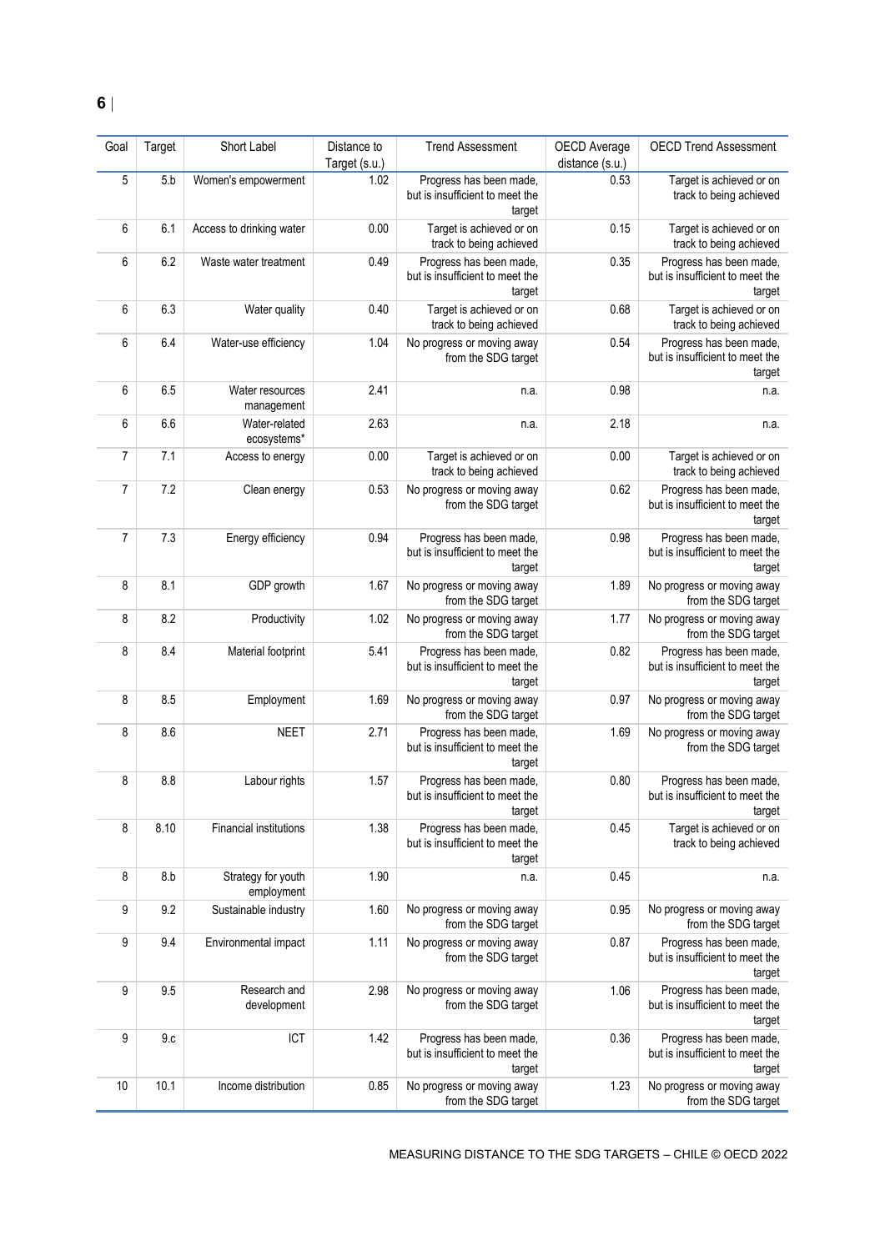| Goal           | Target | Short Label                      | Distance to<br>Target (s.u.) | <b>Trend Assessment</b>                                              | OECD Average<br>distance (s.u.) | <b>OECD Trend Assessment</b>                                         |
|----------------|--------|----------------------------------|------------------------------|----------------------------------------------------------------------|---------------------------------|----------------------------------------------------------------------|
| 5              | 5.b    | Women's empowerment              | 1.02                         | Progress has been made,<br>but is insufficient to meet the<br>target | 0.53                            | Target is achieved or on<br>track to being achieved                  |
| 6              | 6.1    | Access to drinking water         | 0.00                         | Target is achieved or on<br>track to being achieved                  | 0.15                            | Target is achieved or on<br>track to being achieved                  |
| 6              | 6.2    | Waste water treatment            | 0.49                         | Progress has been made,<br>but is insufficient to meet the<br>target | 0.35                            | Progress has been made,<br>but is insufficient to meet the<br>target |
| 6              | 6.3    | Water quality                    | 0.40                         | Target is achieved or on<br>track to being achieved                  | 0.68                            | Target is achieved or on<br>track to being achieved                  |
| 6              | 6.4    | Water-use efficiency             | 1.04                         | No progress or moving away<br>from the SDG target                    | 0.54                            | Progress has been made,<br>but is insufficient to meet the<br>target |
| 6              | 6.5    | Water resources<br>management    | 2.41                         | n.a.                                                                 | 0.98                            | n.a.                                                                 |
| 6              | 6.6    | Water-related<br>ecosystems*     | 2.63                         | n.a.                                                                 | 2.18                            | n.a.                                                                 |
| $\overline{7}$ | 7.1    | Access to energy                 | 0.00                         | Target is achieved or on<br>track to being achieved                  | 0.00                            | Target is achieved or on<br>track to being achieved                  |
| 7              | 7.2    | Clean energy                     | 0.53                         | No progress or moving away<br>from the SDG target                    | 0.62                            | Progress has been made,<br>but is insufficient to meet the<br>target |
| $\overline{7}$ | 7.3    | Energy efficiency                | 0.94                         | Progress has been made,<br>but is insufficient to meet the<br>target | 0.98                            | Progress has been made,<br>but is insufficient to meet the<br>target |
| 8              | 8.1    | GDP growth                       | 1.67                         | No progress or moving away<br>from the SDG target                    | 1.89                            | No progress or moving away<br>from the SDG target                    |
| 8              | 8.2    | Productivity                     | 1.02                         | No progress or moving away<br>from the SDG target                    | 1.77                            | No progress or moving away<br>from the SDG target                    |
| 8              | 8.4    | Material footprint               | 5.41                         | Progress has been made,<br>but is insufficient to meet the<br>target | 0.82                            | Progress has been made,<br>but is insufficient to meet the<br>target |
| 8              | 8.5    | Employment                       | 1.69                         | No progress or moving away<br>from the SDG target                    | 0.97                            | No progress or moving away<br>from the SDG target                    |
| 8              | 8.6    | <b>NEET</b>                      | 2.71                         | Progress has been made,<br>but is insufficient to meet the<br>target | 1.69                            | No progress or moving away<br>from the SDG target                    |
| 8              | 8.8    | Labour rights                    | 1.57                         | Progress has been made,<br>but is insufficient to meet the<br>target | 0.80                            | Progress has been made,<br>but is insufficient to meet the<br>target |
| 8              | 8.10   | Financial institutions           | 1.38                         | Progress has been made,<br>but is insufficient to meet the<br>target | 0.45                            | Target is achieved or on<br>track to being achieved                  |
| 8              | 8.b    | Strategy for youth<br>employment | 1.90                         | n.a.                                                                 | 0.45                            | n.a.                                                                 |
| 9              | 9.2    | Sustainable industry             | 1.60                         | No progress or moving away<br>from the SDG target                    | 0.95                            | No progress or moving away<br>from the SDG target                    |
| 9              | 9.4    | Environmental impact             | 1.11                         | No progress or moving away<br>from the SDG target                    | 0.87                            | Progress has been made,<br>but is insufficient to meet the<br>target |
| 9              | 9.5    | Research and<br>development      | 2.98                         | No progress or moving away<br>from the SDG target                    | 1.06                            | Progress has been made,<br>but is insufficient to meet the<br>target |
| 9              | 9.c    | ICT                              | 1.42                         | Progress has been made,<br>but is insufficient to meet the<br>target | 0.36                            | Progress has been made,<br>but is insufficient to meet the<br>target |
| 10             | 10.1   | Income distribution              | 0.85                         | No progress or moving away<br>from the SDG target                    | 1.23                            | No progress or moving away<br>from the SDG target                    |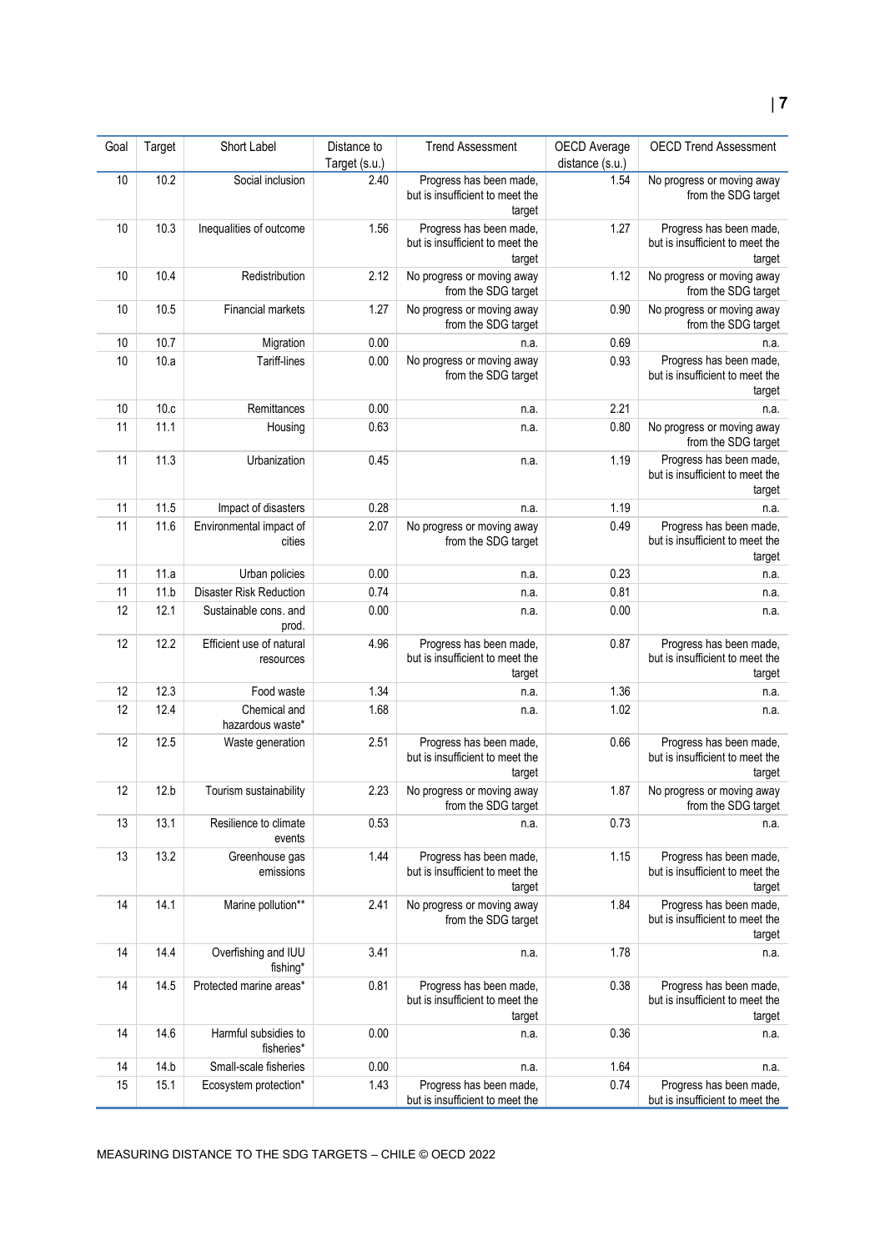| Goal | Target | Short Label                           | Distance to<br>Target (s.u.) | <b>Trend Assessment</b>                                              | OECD Average<br>distance (s.u.) | <b>OECD Trend Assessment</b>                                         |
|------|--------|---------------------------------------|------------------------------|----------------------------------------------------------------------|---------------------------------|----------------------------------------------------------------------|
| 10   | 10.2   | Social inclusion                      | 2.40                         | Progress has been made,<br>but is insufficient to meet the<br>target | 1.54                            | No progress or moving away<br>from the SDG target                    |
| 10   | 10.3   | Inequalities of outcome               | 1.56                         | Progress has been made,<br>but is insufficient to meet the<br>target | 1.27                            | Progress has been made,<br>but is insufficient to meet the<br>target |
| 10   | 10.4   | Redistribution                        | 2.12                         | No progress or moving away<br>from the SDG target                    | 1.12                            | No progress or moving away<br>from the SDG target                    |
| 10   | 10.5   | Financial markets                     | 1.27                         | No progress or moving away<br>from the SDG target                    | 0.90                            | No progress or moving away<br>from the SDG target                    |
| 10   | 10.7   | Migration                             | 0.00                         | n.a.                                                                 | 0.69                            | n.a.                                                                 |
| 10   | 10.a   | Tariff-lines                          | 0.00                         | No progress or moving away<br>from the SDG target                    | 0.93                            | Progress has been made,<br>but is insufficient to meet the<br>target |
| 10   | 10.c   | Remittances                           | 0.00                         | n.a.                                                                 | 2.21                            | n.a.                                                                 |
| 11   | 11.1   | Housing                               | 0.63                         | n.a.                                                                 | 0.80                            | No progress or moving away<br>from the SDG target                    |
| 11   | 11.3   | Urbanization                          | 0.45                         | n.a.                                                                 | 1.19                            | Progress has been made,<br>but is insufficient to meet the<br>target |
| 11   | 11.5   | Impact of disasters                   | 0.28                         | n.a.                                                                 | 1.19                            | n.a.                                                                 |
| 11   | 11.6   | Environmental impact of<br>cities     | 2.07                         | No progress or moving away<br>from the SDG target                    | 0.49                            | Progress has been made,<br>but is insufficient to meet the<br>target |
| 11   | 11.a   | Urban policies                        | 0.00                         | n.a.                                                                 | 0.23                            | n.a.                                                                 |
| 11   | 11.b   | Disaster Risk Reduction               | 0.74                         | n.a.                                                                 | 0.81                            | n.a.                                                                 |
| 12   | 12.1   | Sustainable cons. and<br>prod.        | 0.00                         | n.a.                                                                 | 0.00                            | n.a.                                                                 |
| 12   | 12.2   | Efficient use of natural<br>resources | 4.96                         | Progress has been made,<br>but is insufficient to meet the<br>target | 0.87                            | Progress has been made,<br>but is insufficient to meet the<br>target |
| 12   | 12.3   | Food waste                            | 1.34                         | n.a.                                                                 | 1.36                            | n.a.                                                                 |
| 12   | 12.4   | Chemical and<br>hazardous waste*      | 1.68                         | n.a.                                                                 | 1.02                            | n.a.                                                                 |
| 12   | 12.5   | Waste generation                      | 2.51                         | Progress has been made,<br>but is insufficient to meet the<br>target | 0.66                            | Progress has been made,<br>but is insufficient to meet the<br>target |
| 12   | 12.b   | Tourism sustainability                | 2.23                         | No progress or moving away<br>from the SDG target                    | 1.87                            | No progress or moving away<br>from the SDG target                    |
| 13   | 13.1   | Resilience to climate<br>events       | 0.53                         | n.a.                                                                 | 0.73                            | n.a.                                                                 |
| 13   | 13.2   | Greenhouse gas<br>emissions           | 1.44                         | Progress has been made,<br>but is insufficient to meet the<br>target | 1.15                            | Progress has been made,<br>but is insufficient to meet the<br>target |
| 14   | 14.1   | Marine pollution**                    | 2.41                         | No progress or moving away<br>from the SDG target                    | 1.84                            | Progress has been made,<br>but is insufficient to meet the<br>target |
| 14   | 14.4   | Overfishing and IUU<br>fishing*       | 3.41                         | n.a.                                                                 | 1.78                            | n.a.                                                                 |
| 14   | 14.5   | Protected marine areas*               | 0.81                         | Progress has been made,<br>but is insufficient to meet the<br>target | 0.38                            | Progress has been made,<br>but is insufficient to meet the<br>target |
| 14   | 14.6   | Harmful subsidies to<br>fisheries*    | 0.00                         | n.a.                                                                 | 0.36                            | n.a.                                                                 |
| 14   | 14.b   | Small-scale fisheries                 | 0.00                         | n.a.                                                                 | 1.64                            | n.a.                                                                 |
| 15   | 15.1   | Ecosystem protection*                 | 1.43                         | Progress has been made,<br>but is insufficient to meet the           | 0.74                            | Progress has been made,<br>but is insufficient to meet the           |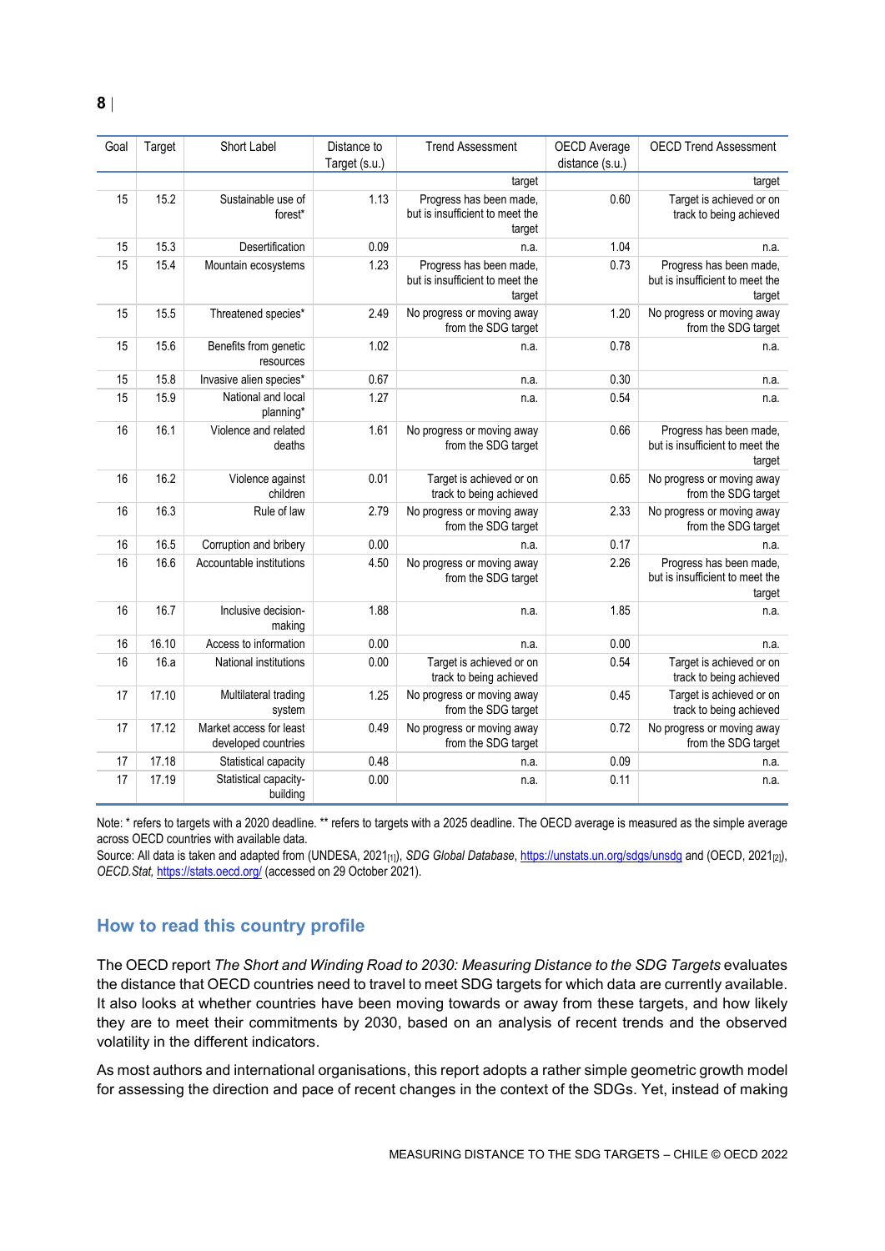| Goal | Target | Short Label                                    | Distance to<br>Target (s.u.) | <b>Trend Assessment</b>                                              | OECD Average<br>distance (s.u.) | <b>OECD Trend Assessment</b>                                         |
|------|--------|------------------------------------------------|------------------------------|----------------------------------------------------------------------|---------------------------------|----------------------------------------------------------------------|
|      |        |                                                |                              | target                                                               |                                 | target                                                               |
| 15   | 15.2   | Sustainable use of<br>forest*                  | 1.13                         | Progress has been made,<br>but is insufficient to meet the<br>target | 0.60                            | Target is achieved or on<br>track to being achieved                  |
| 15   | 15.3   | Desertification                                | 0.09                         | n.a.                                                                 | 1.04                            | n.a.                                                                 |
| 15   | 15.4   | Mountain ecosystems                            | 1.23                         | Progress has been made,<br>but is insufficient to meet the<br>target | 0.73                            | Progress has been made,<br>but is insufficient to meet the<br>target |
| 15   | 15.5   | Threatened species*                            | 2.49                         | No progress or moving away<br>from the SDG target                    | 1.20                            | No progress or moving away<br>from the SDG target                    |
| 15   | 15.6   | Benefits from genetic<br>resources             | 1.02                         | n.a.                                                                 | 0.78                            | n.a.                                                                 |
| 15   | 15.8   | Invasive alien species*                        | 0.67                         | n.a.                                                                 | 0.30                            | n.a.                                                                 |
| 15   | 15.9   | National and local<br>planning*                | 1.27                         | n.a.                                                                 | 0.54                            | n.a.                                                                 |
| 16   | 16.1   | Violence and related<br>deaths                 | 1.61                         | No progress or moving away<br>from the SDG target                    | 0.66                            | Progress has been made,<br>but is insufficient to meet the<br>target |
| 16   | 16.2   | Violence against<br>children                   | 0.01                         | Target is achieved or on<br>track to being achieved                  | 0.65                            | No progress or moving away<br>from the SDG target                    |
| 16   | 16.3   | Rule of law                                    | 2.79                         | No progress or moving away<br>from the SDG target                    | 2.33                            | No progress or moving away<br>from the SDG target                    |
| 16   | 16.5   | Corruption and bribery                         | 0.00                         | n.a.                                                                 | 0.17                            | n.a.                                                                 |
| 16   | 16.6   | Accountable institutions                       | 4.50                         | No progress or moving away<br>from the SDG target                    | 2.26                            | Progress has been made,<br>but is insufficient to meet the<br>target |
| 16   | 16.7   | Inclusive decision-<br>making                  | 1.88                         | n.a.                                                                 | 1.85                            | n.a.                                                                 |
| 16   | 16.10  | Access to information                          | 0.00                         | n.a.                                                                 | 0.00                            | n.a.                                                                 |
| 16   | 16.a   | National institutions                          | 0.00                         | Target is achieved or on<br>track to being achieved                  | 0.54                            | Target is achieved or on<br>track to being achieved                  |
| 17   | 17.10  | Multilateral trading<br>system                 | 1.25                         | No progress or moving away<br>from the SDG target                    | 0.45                            | Target is achieved or on<br>track to being achieved                  |
| 17   | 17.12  | Market access for least<br>developed countries | 0.49                         | No progress or moving away<br>from the SDG target                    | 0.72                            | No progress or moving away<br>from the SDG target                    |
| 17   | 17.18  | Statistical capacity                           | 0.48                         | n.a.                                                                 | 0.09                            | n.a.                                                                 |
| 17   | 17.19  | Statistical capacity-<br>building              | 0.00                         | n.a.                                                                 | 0.11                            | n.a.                                                                 |

Note: \* refers to targets with a 2020 deadline. \*\* refers to targets with a 2025 deadline. The OECD average is measured as the simple average across OECD countries with available data.

Source: All data is taken and adapted from (UNDESA, 2021<sub>[1]</sub>), *SDG Global Database*[, https://unstats.un.org/sdgs/unsdg](https://unstats.un.org/sdgs/unsdg) and (OECD, 2021<sub>[2]</sub>), *OECD.Stat,* <https://stats.oecd.org/> (accessed on 29 October 2021).

# <span id="page-7-0"></span>**How to read this country profile**

The OECD report *The Short and Winding Road to 2030: Measuring Distance to the SDG Targets* evaluates the distance that OECD countries need to travel to meet SDG targets for which data are currently available. It also looks at whether countries have been moving towards or away from these targets, and how likely they are to meet their commitments by 2030, based on an analysis of recent trends and the observed volatility in the different indicators.

As most authors and international organisations, this report adopts a rather simple geometric growth model for assessing the direction and pace of recent changes in the context of the SDGs. Yet, instead of making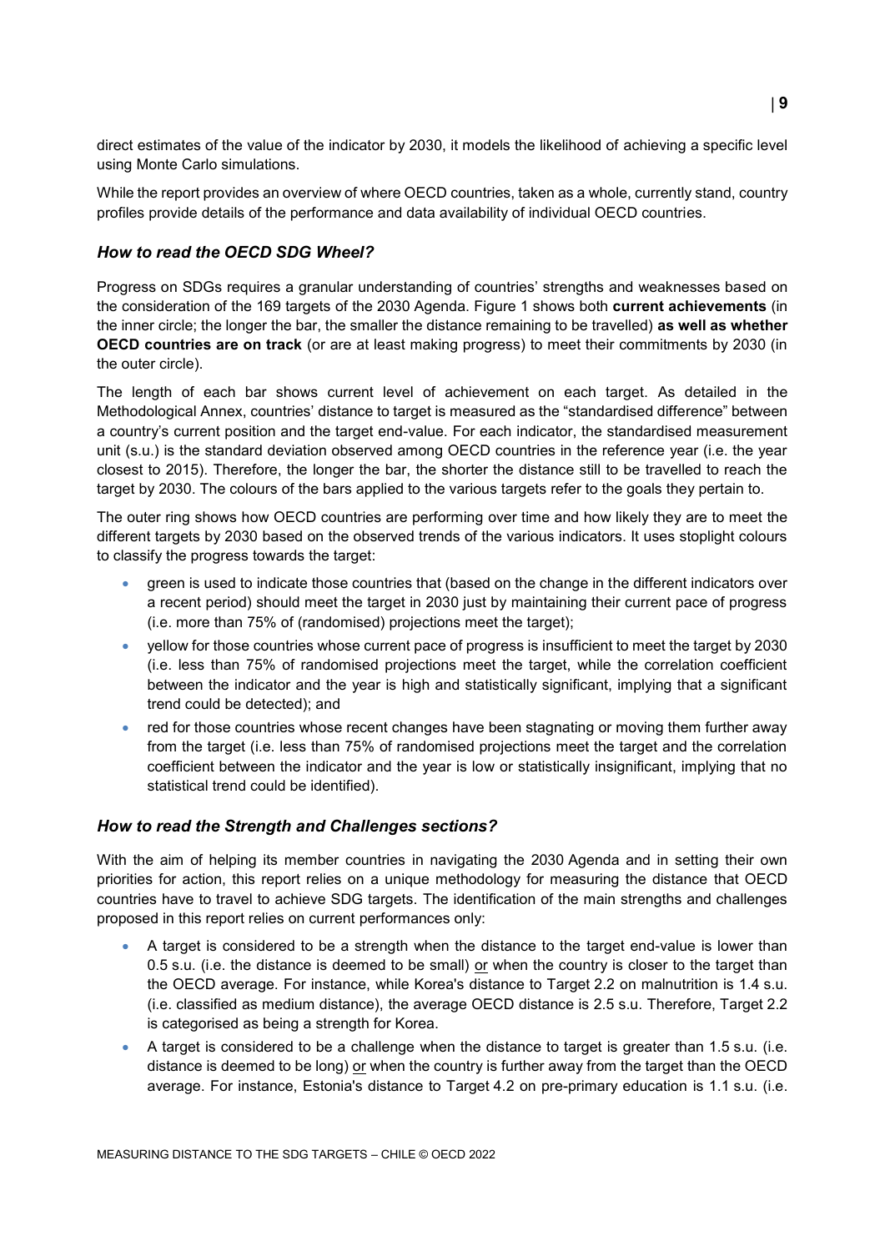direct estimates of the value of the indicator by 2030, it models the likelihood of achieving a specific level using Monte Carlo simulations.

While the report provides an overview of where OECD countries, taken as a whole, currently stand, country profiles provide details of the performance and data availability of individual OECD countries.

# *How to read the OECD SDG Wheel?*

Progress on SDGs requires a granular understanding of countries' strengths and weaknesses based on the consideration of the 169 targets of the 2030 Agenda. [Figure](#page-0-0) 1 shows both **current achievements** (in the inner circle; the longer the bar, the smaller the distance remaining to be travelled) **as well as whether OECD countries are on track** (or are at least making progress) to meet their commitments by 2030 (in the outer circle).

The length of each bar shows current level of achievement on each target. As detailed in the Methodological Annex, countries' distance to target is measured as the "standardised difference" between a country's current position and the target end-value. For each indicator, the standardised measurement unit (s.u.) is the standard deviation observed among OECD countries in the reference year (i.e. the year closest to 2015). Therefore, the longer the bar, the shorter the distance still to be travelled to reach the target by 2030. The colours of the bars applied to the various targets refer to the goals they pertain to.

The outer ring shows how OECD countries are performing over time and how likely they are to meet the different targets by 2030 based on the observed trends of the various indicators. It uses stoplight colours to classify the progress towards the target:

- green is used to indicate those countries that (based on the change in the different indicators over a recent period) should meet the target in 2030 just by maintaining their current pace of progress (i.e. more than 75% of (randomised) projections meet the target);
- yellow for those countries whose current pace of progress is insufficient to meet the target by 2030 (i.e. less than 75% of randomised projections meet the target, while the correlation coefficient between the indicator and the year is high and statistically significant, implying that a significant trend could be detected); and
- red for those countries whose recent changes have been stagnating or moving them further away from the target (i.e. less than 75% of randomised projections meet the target and the correlation coefficient between the indicator and the year is low or statistically insignificant, implying that no statistical trend could be identified).

# *How to read the Strength and Challenges sections?*

With the aim of helping its member countries in navigating the 2030 Agenda and in setting their own priorities for action, this report relies on a unique methodology for measuring the distance that OECD countries have to travel to achieve SDG targets. The identification of the main strengths and challenges proposed in this report relies on current performances only:

- A target is considered to be a strength when the distance to the target end-value is lower than 0.5 s.u. (i.e. the distance is deemed to be small) or when the country is closer to the target than the OECD average. For instance, while Korea's distance to Target 2.2 on malnutrition is 1.4 s.u. (i.e. classified as medium distance), the average OECD distance is 2.5 s.u. Therefore, Target 2.2 is categorised as being a strength for Korea.
- A target is considered to be a challenge when the distance to target is greater than 1.5 s.u. (i.e. distance is deemed to be long) or when the country is further away from the target than the OECD average. For instance, Estonia's distance to Target 4.2 on pre-primary education is 1.1 s.u. (i.e.